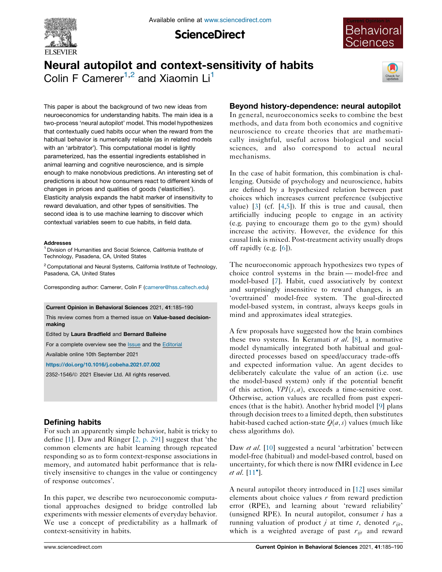

**ScienceDirect** 



# Neural autopilot and context-sensitivity of habits Colin F Camerer<sup>1,2</sup> and Xiaomin Li<sup>1</sup>



This paper is about the background of two new ideas from neuroeconomics for understanding habits. The main idea is a two-process 'neural autopilot' model. This model hypothesizes that contextually cued habits occur when the reward from the habitual behavior is numerically reliable (as in related models with an 'arbitrator'). This computational model is lightly parameterized, has the essential ingredients established in animal learning and cognitive neuroscience, and is simple enough to make nonobvious predictions. An interesting set of predictions is about how consumers react to different kinds of changes in prices and qualities of goods ('elasticities'). Elasticity analysis expands the habit marker of insensitivity to reward devaluation, and other types of sensitivities. The second idea is to use machine learning to discover which contextual variables seem to cue habits, in field data.

### **Addresses**

<sup>1</sup> Division of Humanities and Social Science, California Institute of Technology, Pasadena, CA, United States

<sup>2</sup> Computational and Neural Systems, California Institute of Technology, Pasadena, CA, United States

Corresponding author: Camerer, Colin F ([camerer@hss.caltech.edu](mailto:camerer@hss.caltech.edu))

### Current Opinion in Behavioral Sciences 2021, 41:185–190

This review comes from a themed issue on Value-based decisionmaking

Edited by Laura Bradfield and Bernard Balleine

For a complete overview see the **[Issue](http://www.sciencedirect.com/science/journal/23521546/41)** and the [Editorial](https://doi.org/10.1016/j.cobeha.2021.09.003)

Available online 10th September 2021

<https://doi.org/10.1016/j.cobeha.2021.07.002>

2352-1546/ã 2021 Elsevier Ltd. All rights reserved.

## Defining habits

For such an apparently simple behavior, habit is tricky to define  $[1]$  $[1]$ . Daw and Rünger  $[2, p. 291]$  $[2, p. 291]$  suggest that 'the common elements are habit learning through repeated responding so as to form context-response associations in memory, and automated habit performance that is relatively insensitive to changes in the value or contingency of response outcomes'.

In this paper, we describe two neuroeconomic computational approaches designed to bridge controlled lab experiments with messier elements of everyday behavior. We use a concept of predictability as a hallmark of context-sensitivity in habits.

## Beyond history-dependence: neural autopilot

In general, neuroeconomics seeks to combine the best methods, and data from both economics and cognitive neuroscience to create theories that are mathematically insightful, useful across biological and social sciences, and also correspond to actual neural mechanisms.

In the case of habit formation, this combination is challenging. Outside of psychology and neuroscience, habits are defined by a hypothesized relation between past choices which increases current preference (subjective value) [\[3](#page-4-0)] (cf. [\[4](#page-4-0),[5\]](#page-4-0)). If this is true and causal, then artificially inducing people to engage in an activity (e.g. paying to encourage them go to the gym) should increase the activity. However, the evidence for this causal link is mixed. Post-treatment activity usually drops off rapidly (e.g. [[6\]](#page-4-0)).

The neuroeconomic approach hypothesizes two types of choice control systems in the brain — model-free and model-based [[7\]](#page-4-0). Habit, cued associatively by context and surprisingly insensitive to reward changes, is an 'overtrained' model-free system. The goal-directed model-based system, in contrast, always keeps goals in mind and approximates ideal strategies.

A few proposals have suggested how the brain combines these two systems. In Keramati et al. [\[8](#page-4-0)], a normative model dynamically integrated both habitual and goaldirected processes based on speed/accuracy trade-offs and expected information value. An agent decides to deliberately calculate the value of an action (i.e. use the model-based system) only if the potential benefit of this action,  $VPI(s, a)$ , exceeds a time-sensitive cost. Otherwise, action values are recalled from past experiences (that is the habit). Another hybrid model [\[9](#page-4-0)] plans through decision trees to a limited depth, then substitutes habit-based cached action-state  $Q(a, s)$  values (much like chess algorithms do).

Daw *et al.* [\[10](#page-4-0)] suggested a neural 'arbitration' between model-free (habitual) and model-based control, based on uncertainty, for which there is now fMRI evidence in Lee *et al.*  $[11^{\circ}]$  $[11^{\circ}]$  $[11^{\circ}]$ .

A neural autopilot theory introduced in [\[12](#page-5-0)] uses similar elements about choice values  $r$  from reward prediction error (RPE), and learning about 'reward reliability' (unsigned RPE). In neural autopilot, consumer  $i$  has a running valuation of product *j* at time *t*, denoted  $r_{ijt}$ , which is a weighted average of past  $r_{ijt}$  and reward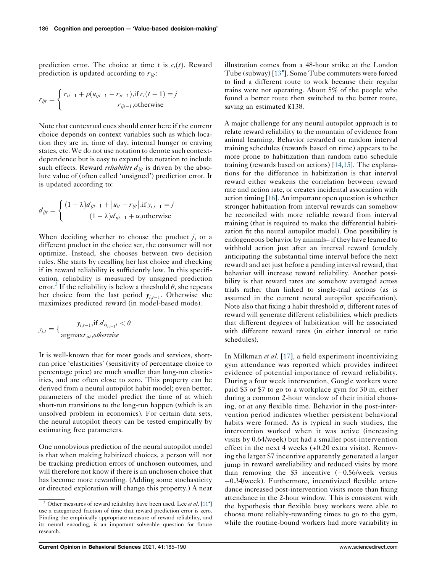prediction error. The choice at time t is  $c_i(t)$ . Reward prediction is updated according to  $r_{\mathit{int}}$ :

$$
r_{ijt} = \begin{cases} r_{it-1} + \rho(u_{ijt-1} - r_{it-1}), \text{if } c_i(t-1) = j \\ r_{ijt-1}, \text{otherwise} \end{cases}
$$

Note that contextual cues should enter here if the current choice depends on context variables such as which location they are in, time of day, internal hunger or craving states, etc. We do not use notation to denote such contextdependence but is easy to expand the notation to include such effects. Reward *reliability*  $d_{ijt}$  is driven by the absolute value of (often called 'unsigned') prediction error. It is updated according to:

$$
d_{ijt} = \begin{cases} (1 - \lambda)d_{ijt-1} + |u_{it} - r_{ijt}|, \text{if } y_{i,t-1} = j \\ (1 - \lambda)d_{ijt-1} + \alpha, \text{otherwise} \end{cases}
$$

When deciding whether to choose the product  $j$ , or a different product in the choice set, the consumer will not optimize. Instead, she chooses between two decision rules. She starts by recalling her last choice and checking if its reward reliability is sufficiently low. In this specification, reliability is measured by unsigned prediction error.<sup>3</sup> If the reliability is below a threshold  $\theta$ , she repeats her choice from the last period  $y_{i,t-1}$ . Otherwise she maximizes predicted reward (in model-based mode).

$$
y_{i,t} = \{ \frac{y_{i,t-1}, \text{if } d_{iy_{i,t-1}t} < \theta}{\text{argmax} r_{ijt}, \text{otherwise}}
$$

It is well-known that for most goods and services, shortrun price 'elasticities' (sensitivity of percentage choice to percentage price) are much smaller than long-run elasticities, and are often close to zero. This property can be derived from a neural autopilot habit model; even better, parameters of the model predict the time of at which short-run transitions to the long-run happen (which is an unsolved problem in economics). For certain data sets, the neural autopilot theory can be tested empirically by estimating free parameters.

One nonobvious prediction of the neural autopilot model is that when making habitized choices, a person will not be tracking prediction errors of unchosen outcomes, and will therefore not know if there is an unchosen choice that has become more rewarding. (Adding some stochasticity or directed exploration will change this property.) A neat

illustration comes from a 48-hour strike at the London Tube (subway) [13<sup>°</sup>]. Some Tube [commuters](#page-5-0) were forced to find a different route to work because their regular trains were not operating. About 5% of the people who found a better route then switched to the better route, saving an estimated £138.

A major challenge for any neural autopilot approach is to relate reward reliability to the mountain of evidence from animal learning. Behavior rewarded on random interval training schedules (rewards based on time) appears to be more prone to habitization than random ratio schedule training (rewards based on actions) [[14,15](#page-5-0)]. The explanations for the difference in habitization is that interval reward either weakens the correlation between reward rate and action rate, or creates incidental association with action timing [[16](#page-5-0)]. An important open question is whether stronger habituation from interval rewards can somehow be reconciled with more reliable reward from interval training (that is required to make the differential habitization fit the neural autopilot model). One possibility is endogeneous behavior by animals– if they have learned to withhold action just after an interval reward (crudely anticipating the substantial time interval before the next reward) and act just before a pending interval reward, that behavior will increase reward reliability. Another possibility is that reward rates are somehow averaged across trials rather than linked to single-trial actions (as is assumed in the current neural autopilot specification). Note also that fixing a habit threshold  $\sigma$ , different rates of reward will generate different reliabilities, which predicts that different degrees of habitization will be associated with different reward rates (in either interval or ratio schedules).

In Milkman et al. [[17\]](#page-5-0), a field experiment incentivizing gym attendance was reported which provides indirect evidence of potential importance of reward reliability. During a four week intervention, Google workers were paid \$3 or \$7 to go to a workplace gym for 30 m, either during a common 2-hour window of their initial choosing, or at any flexible time. Behavior in the post-intervention period indicates whether persistent behavioral habits were formed. As is typical in such studies, the intervention worked when it was active (increasing visits by 0.64/week) but had a smaller post-intervention effect in the next 4 weeks (+0.20 extra visits). Removing the larger \$7 incentive apparently generated a larger jump in reward *un*reliability and reduced visits by more than removing the \$3 incentive  $(-0.56/\text{week}$  versus  $-0.34$ /week). Furthermore, incentivized flexible attendance increased post-intervention visits more than fixing attendance in the 2-hour window. This is consistent with the hypothesis that flexible busy workers were able to choose more reliably-rewarding times to go to the gym, while the routine-bound workers had more variability in

<sup>&</sup>lt;sup>3</sup> Other measures of reward reliability have been used. Lee *et al*. [[11](#page-5-0)<sup> $\degree$ </sup>] use a categorized fraction of time that reward prediction error is zero. Finding the empirically appropriate measure of reward reliability, and its neural encoding, is an important solveable question for future research.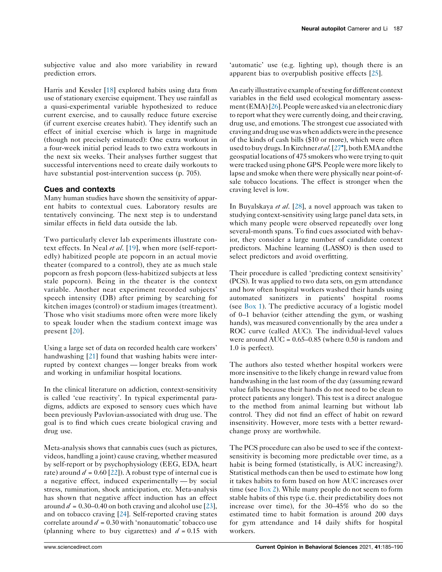subjective value and also more variability in reward prediction errors.

Harris and Kessler [\[18](#page-5-0)] explored habits using data from use of stationary exercise equipment. They use rainfall as a quasi-experimental variable hypothesized to reduce current exercise, and to causally reduce future exercise (if current exercise creates habit). They identify such an effect of initial exercise which is large in magnitude (though not precisely estimated): One extra workout in a four-week initial period leads to two extra workouts in the next six weeks. Their analyses further suggest that successful interventions need to create daily workouts to have substantial post-intervention success (p. 705).

### Cues and contexts

Many human studies have shown the sensitivity of apparent habits to contextual cues. Laboratory results are tentatively convincing. The next step is to understand similar effects in field data outside the lab.

Two particularly clever lab experiments illustrate con-text effects. In Neal et al. [[19](#page-5-0)], when more (self-reportedly) habitized people ate popcorn in an actual movie theater (compared to a control), they ate as much stale popcorn as fresh popcorn (less-habitized subjects at less stale popcorn). Being in the theater is the context variable. Another neat experiment recorded subjects' speech intensity (DB) after priming by searching for kitchen images (control) or stadium images (treatment). Those who visit stadiums more often were more likely to speak louder when the stadium context image was present [[20\]](#page-5-0).

Using a large set of data on recorded health care workers' handwashing [[21\]](#page-5-0) found that washing habits were interrupted by context changes — longer breaks from work and working in unfamiliar hospital locations.

In the clinical literature on addiction, context-sensitivity is called 'cue reactivity'. In typical experimental paradigms, addicts are exposed to sensory cues which have been previously Pavlovian-associated with drug use. The goal is to find which cues create biological craving and drug use.

Meta-analysis shows that cannabis cues (such as pictures, videos, handling a joint) cause craving, whether measured by self-report or by psychophysiology (EEG, EDA, heart rate) around  $d = 0.60$  [\[22](#page-5-0)]). A robust type of internal cue is a negative effect, induced experimentally — by social stress, rumination, shock anticipation, etc. Meta-analysis has shown that negative affect induction has an effect around  $d = 0.30{\text -}0.40$  on both craving and alcohol use [\[23](#page-5-0)], and on tobacco craving [[24\]](#page-5-0). Self-reported craving states correlate around  $d = 0.30$  with 'nonautomatic' tobacco use (planning where to buy cigarettes) and  $d = 0.15$  with 'automatic' use (e.g. lighting up), though there is an apparent bias to overpublish positive effects [[25\]](#page-5-0).

An early illustrative example of testing for different context variables in the field used ecological momentary assessment(EMA)[[26\]](#page-5-0).People were askedvia anelectronicdiary to report what they were currently doing, and their craving, drug use, and emotions. The strongest cue associated with craving anddrug usewaswhen addictswere inthepresence of the kinds of cash bills (\$10 or more), which were often used to buy drugs. In Kirchner et al. [\[27](#page-5-0)<sup>°</sup>], both EMA and the geospatial locations of 475 smokers who were trying to quit were tracked using phone GPS. People were more likely to lapse and smoke when there were physically near point-ofsale tobacco locations. The effect is stronger when the craving level is low.

In Buyalskaya et al. [[28\]](#page-5-0), a novel approach was taken to studying context-sensitivity using large panel data sets, in which many people were observed repeatedly over long several-month spans. To find cues associated with behavior, they consider a large number of candidate context predictors. Machine learning (LASSO) is then used to select predictors and avoid overfitting.

Their procedure is called 'predicting context sensitivity' (PCS). It was applied to two data sets, on gym attendance and how often hospital workers washed their hands using automated sanitizers in patients' hospital rooms (see [Box](#page-3-0) 1). The predictive accuracy of a logistic model of 0–1 behavior (either attending the gym, or washing hands), was measured conventionally by the area under a ROC curve (called AUC). The individual-level values were around  $AUC = 0.65-0.85$  (where 0.50 is random and 1.0 is perfect).

The authors also tested whether hospital workers were more insensitive to the likely change in reward value from handwashing in the last room of the day (assuming reward value falls because their hands do not need to be clean to protect patients any longer). This test is a direct analogue to the method from animal learning but without lab control. They did not find an effect of habit on reward insensitivity. However, more tests with a better rewardchange proxy are worthwhile.

The PCS procedure can also be used to see if the contextsensitivity is becoming more predictable over time, as a habit is being formed (statistically, is AUC increasing?). Statistical methods can then be used to estimate how long it takes habits to form based on how AUC increases over time (see  $Box 2$  $Box 2$ ). While many people do not seem to form stable habits of this type (i.e. their predictability does not increase over time), for the 30–45% who do so the estimated time to habit formation is around 200 days for gym attendance and 14 daily shifts for hospital workers.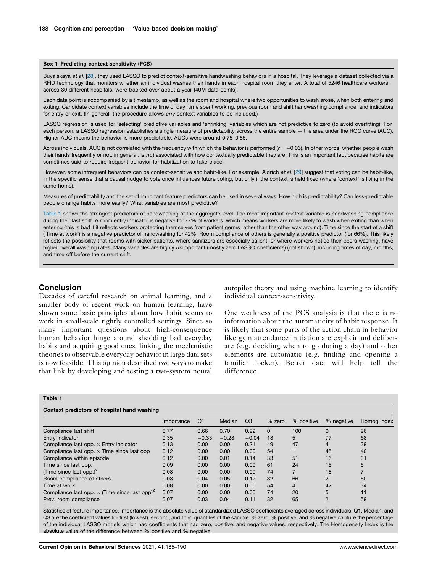#### <span id="page-3-0"></span>Box 1 Predicting context-sensitivity (PCS)

Buyalskaya et al. [\[28](#page-5-0)], they used LASSO to predict context-sensitive handwashing behaviors in a hospital. They leverage a dataset collected via a RFID technology that monitors whether an individual washes their hands in each hospital room they enter. A total of 5246 healthcare workers across 30 different hospitals, were tracked over about a year (40M data points).

Each data point is accompanied by a timestamp, as well as the room and hospital where two opportunities to wash arose, when both entering and exiting. Candidate context variables include the time of day, time spent working, previous room and shift handwashing compliance, and indicators for entry or exit. (In general, the procedure allows any context variables to be included.)

LASSO regression is used for 'selecting' predictive variables and 'shrinking' variables which are not predictive to zero (to avoid overfitting). For each person, a LASSO regression establishes a single measure of predictability across the entire sample — the area under the ROC curve (AUC). Higher AUC means the behavior is more predictable. AUCs were around 0.75–0.85.

Across individuals, AUC is not correlated with the frequency with which the behavior is performed ( $r = -0.06$ ). In other words, whether people wash their hands frequently or not, in general, is not associated with how contextually predictable they are. This is an important fact because habits are sometimes said to require frequent behavior for habitization to take place.

However, some infrequent behaviors can be context-sensitive and habit-like. For example, Aldrich et al. [[29\]](#page-5-0) suggest that voting can be habit-like, in the specific sense that a causal nudge to vote once influences future voting, but only if the context is held fixed (where 'context' is living in the same home).

Measures of predictability and the set of important feature predictors can be used in several ways: How high is predictability? Can less-predictable people change habits more easily? What variables are most predictive?

Table 1 shows the strongest predictors of handwashing at the aggregate level. The most important context variable is handwashing compliance during their last shift. A room entry indicator is negative for 77% of workers, which means workers are more likely to wash when exiting than when entering (this is bad if it reflects workers protecting themselves from patient germs rather than the other way around). Time since the start of a shift ('Time at work') is a negative predictor of handwashing for 42%. Room compliance of others is generally a positive predictor (for 66%). This likely reflects the possibility that rooms with sicker patients, where sanitizers are especially salient, or where workers notice their peers washing, have higher overall washing rates. Many variables are highly unimportant (mostly zero LASSO coefficients) (not shown), including times of day, months, and time off before the current shift.

### **Conclusion**

Decades of careful research on animal learning, and a smaller body of recent work on human learning, have shown some basic principles about how habit seems to work in small-scale tightly controlled settings. Since so many important questions about high-consequence human behavior hinge around shedding bad everyday habits and acquiring good ones, linking the mechanistic theories to observable everyday behavior in large data sets is now feasible. This opinion described two ways to make that link by developing and testing a two-system neural autopilot theory and using machine learning to identify individual context-sensitivity.

One weakness of the PCS analysis is that there is no information about the automaticity of habit response. It is likely that some parts of the action chain in behavior like gym attendance initiation are explicit and deliberate (e.g. deciding when to go during a day) and other elements are automatic (e.g. finding and opening a familiar locker). Better data will help tell the difference.

### Table 1

| Context predictors of hospital hand washing                      |            |         |         |                |          |            |                |             |
|------------------------------------------------------------------|------------|---------|---------|----------------|----------|------------|----------------|-------------|
|                                                                  | Importance | Q1      | Median  | Q <sub>3</sub> | % zero   | % positive | % negative     | Homog index |
| Compliance last shift                                            | 0.77       | 0.66    | 0.70    | 0.92           | $\Omega$ | 100        | $\Omega$       | 96          |
| Entry indicator                                                  | 0.35       | $-0.33$ | $-0.28$ | $-0.04$        | 18       | 5          | 77             | 68          |
| Compliance last opp. $\times$ Entry indicator                    | 0.13       | 0.00    | 0.00    | 0.21           | 49       | 47         | 4              | 39          |
| Compliance last opp. $\times$ Time since last opp                | 0.12       | 0.00    | 0.00    | 0.00           | 54       |            | 45             | 40          |
| Compliance within episode                                        | 0.12       | 0.00    | 0.01    | 0.14           | 33       | 51         | 16             | 31          |
| Time since last opp.                                             | 0.09       | 0.00    | 0.00    | 0.00           | 61       | 24         | 15             | 5           |
| (Time since last opp.) <sup>2</sup>                              | 0.08       | 0.00    | 0.00    | 0.00           | 74       |            | 18             |             |
| Room compliance of others                                        | 0.08       | 0.04    | 0.05    | 0.12           | 32       | 66         | $\overline{2}$ | 60          |
| Time at work                                                     | 0.08       | 0.00    | 0.00    | 0.00           | 54       | 4          | 42             | 34          |
| Compliance last opp. $\times$ (Time since last opp) <sup>2</sup> | 0.07       | 0.00    | 0.00    | 0.00           | 74       | 20         | 5              | 11          |
| Prev. room compliance                                            | 0.07       | 0.03    | 0.04    | 0.11           | 32       | 65         | $\overline{2}$ | 59          |

Statistics of feature importance. Importance is the absolute value of standardized LASSO coefficients averaged across individuals. Q1, Median, and Q3 are the coefficient values for first (lowest), second, and third quantiles of the sample. % zero, % positive, and % negative capture the percentage of the individual LASSO models which had coefficients that had zero, positive, and negative values, respectively. The Homogeneity Index is the absolute value of the difference between % positive and % negative.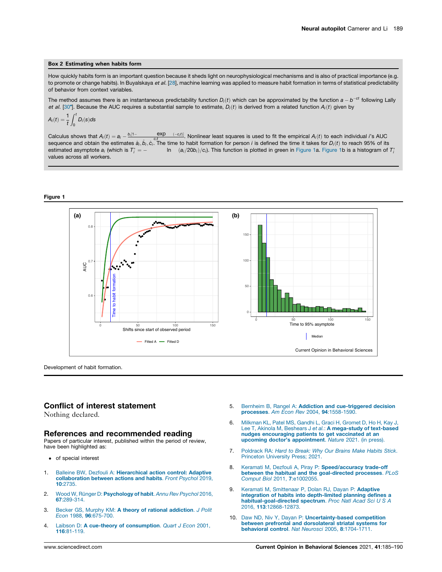#### <span id="page-4-0"></span>Box 2 Estimating when habits form

How quickly habits form is an important question because it sheds light on neurophysiological mechanisms and is also of practical importance (e.g. to promote or change habits). In Buyalskaya et al. [[28\]](#page-5-0), machine learning was applied to measure habit formation in terms of statistical predictability of behavior from context variables.

The method assumes there is an instantaneous predictability function  $D_i(t)$  which can be approximated by the function  $a-b^{-ct}$  following Lally et al. [[30](#page-5-0)"]. Because the AUC requires a substantial sample to estimate,  $D_i(t)$  is derived from a related function  $A_i(t)$  given by

$$
A_i(t) = \frac{1}{t} \int_0^t D_i(s) ds
$$

Calculus shows that  $A_i(t) = a_i - \frac{b_i[1-t]}{2}$  $b_i$ <sup> $i$ </sup> exp  $(-c_it)$ . Nonlinear least squares is used to fit the empirical  $A_i(t)$  to each individual *i*'s AUC sequence and obtain the estimates  $\hat{a}_i, \hat{b}_i, \hat{c}_i$ . The time to habit formation for person *i* is defined the time it takes for  $D_i(t)$  to reach 95% of its estimated asymptote *a<sup>i</sup>* (which is *T*  $\hat{a}^*$  =  $-$  ln  $(a_i/20b_i)/c_i$ ). This function is plotted in green in Figure 1a. Figure 1b is a histogram of  $T_i^*$ values across all workers.

#### Figure 1



Development of habit formation.

### Conflict of interest statement

Nothing declared.

### References and recommended reading

Papers of particular interest, published within the period of review, have been highlighted as:

- of special interest
- 1. Balleine BW, Dezfouli A: [Hierarchical](http://refhub.elsevier.com/S2352-1546(21)00140-6/sbref0005) action control: Adaptive [collaboration](http://refhub.elsevier.com/S2352-1546(21)00140-6/sbref0005) between actions and habits. *Front Psychol* 2019, 10[:2735.](http://refhub.elsevier.com/S2352-1546(21)00140-6/sbref0005)
- 2. Wood W, Rünger D: [Psychology](http://refhub.elsevier.com/S2352-1546(21)00140-6/sbref0010) of habit. Annu Rev Psychol 2016, 67[:289-314.](http://refhub.elsevier.com/S2352-1546(21)00140-6/sbref0010)
- 3. Becker GS, Murphy KM: A theory of rational [addiction](http://refhub.elsevier.com/S2352-1546(21)00140-6/sbref0015). *J Polit Econ* 1988, 96[:675-700.](http://refhub.elsevier.com/S2352-1546(21)00140-6/sbref0015)
- 4. Laibson D: A cue-theory of [consumption](http://refhub.elsevier.com/S2352-1546(21)00140-6/sbref0020). *Quart J Econ* 2001, 116[:81-119.](http://refhub.elsevier.com/S2352-1546(21)00140-6/sbref0020)
- 5. Bernheim B, Rangel A: Addiction and [cue-triggered](http://refhub.elsevier.com/S2352-1546(21)00140-6/sbref0025) decision processes. *Am Econ Rev* 2004, 94[:1558-1590.](http://refhub.elsevier.com/S2352-1546(21)00140-6/sbref0025)
- 6. [Milkman](http://refhub.elsevier.com/S2352-1546(21)00140-6/sbref0030) KL, Patel MS, Gandhi L, Graci H, Gromet D, Ho H, Kay J, Lee T, Akinola M, Beshears J *et al.*: A [mega-study](http://refhub.elsevier.com/S2352-1546(21)00140-6/sbref0030) of text-based nudges [encouraging](http://refhub.elsevier.com/S2352-1546(21)00140-6/sbref0030) patients to get vaccinated at an upcoming doctor's [appointment](http://refhub.elsevier.com/S2352-1546(21)00140-6/sbref0030). *Nature* 2021. (in press).
- 7. [Poldrack](http://refhub.elsevier.com/S2352-1546(21)00140-6/sbref0035) RA: *Hard to Break: Why Our Brains Make Habits Stick*. Princeton [University](http://refhub.elsevier.com/S2352-1546(21)00140-6/sbref0035) Press; 2021.
- 8. Keramati M, Dezfouli A, Piray P: [Speed/accuracy](http://refhub.elsevier.com/S2352-1546(21)00140-6/sbref0040) trade-off between the habitual and the [goal-directed](http://refhub.elsevier.com/S2352-1546(21)00140-6/sbref0040) processes. *PLoS Comput Biol* 2011, 7[:e1002055.](http://refhub.elsevier.com/S2352-1546(21)00140-6/sbref0040)
- 9. Keramati M, [Smittenaar](http://refhub.elsevier.com/S2352-1546(21)00140-6/sbref0045) P, Dolan RJ, Dayan P: Adaptive integration of habits into [depth-limited](http://refhub.elsevier.com/S2352-1546(21)00140-6/sbref0045) planning defines a [habitual-goal-directed](http://refhub.elsevier.com/S2352-1546(21)00140-6/sbref0045) spectrum. *Proc Natl Acad Sci U S A* 2016, 113[:12868-12873.](http://refhub.elsevier.com/S2352-1546(21)00140-6/sbref0045)
- 10. Daw ND, Niv Y, Dayan P: [Uncertainty-based](http://refhub.elsevier.com/S2352-1546(21)00140-6/sbref0050) competition between prefrontal and [dorsolateral](http://refhub.elsevier.com/S2352-1546(21)00140-6/sbref0050) striatal systems for behavioral control. *Nat Neurosci* 2005, 8[:1704-1711.](http://refhub.elsevier.com/S2352-1546(21)00140-6/sbref0050)